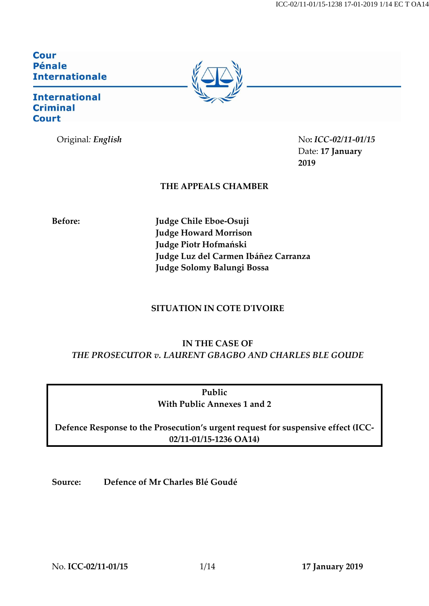ICC-02/11-01/15-1238 17-01-2019 1/14 EC T OA14

**Cour Pénale Internationale** 

## **International Criminal Court**



Original*: English* No**:** *ICC-02/11-01/15* Date: **17 January 2019**

## **THE APPEALS CHAMBER**

**Before: Judge Chile Eboe-Osuji Judge Howard Morrison Judge Piotr Hofmański Judge Luz del Carmen Ibáñez Carranza Judge Solomy Balungi Bossa**

## **SITUATION IN COTE D'IVOIRE**

# **IN THE CASE OF** *THE PROSECUTOR v. LAURENT GBAGBO AND CHARLES BLE GOUDE*

**Public With Public Annexes 1 and 2**

**Defence Response to the Prosecution's urgent request for suspensive effect (ICC-02/11-01/15-1236 OA14)**

**Source: Defence of Mr Charles Blé Goudé**

No. **ICC-02/11-01/15** 1/14 **17 January 2019**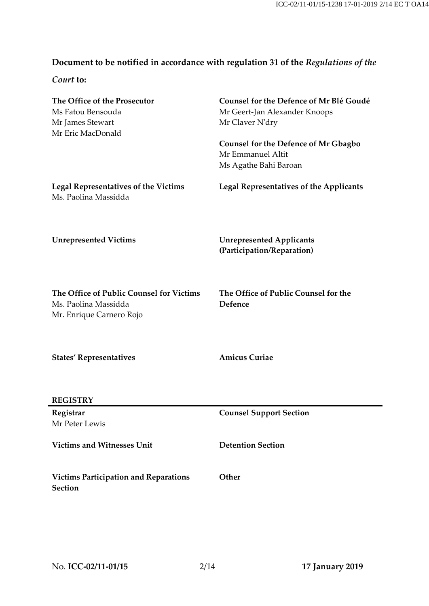# **Document to be notified in accordance with regulation 31 of the** *Regulations of the*

*Court* **to:**

| The Office of the Prosecutor<br>Ms Fatou Bensouda<br>Mr James Stewart<br>Mr Eric MacDonald   | Counsel for the Defence of Mr Blé Goudé<br>Mr Geert-Jan Alexander Knoops<br>Mr Claver N'dry |
|----------------------------------------------------------------------------------------------|---------------------------------------------------------------------------------------------|
|                                                                                              | <b>Counsel for the Defence of Mr Gbagbo</b><br>Mr Emmanuel Altit<br>Ms Agathe Bahi Baroan   |
| <b>Legal Representatives of the Victims</b><br>Ms. Paolina Massidda                          | <b>Legal Representatives of the Applicants</b>                                              |
| <b>Unrepresented Victims</b>                                                                 | <b>Unrepresented Applicants</b><br>(Participation/Reparation)                               |
| The Office of Public Counsel for Victims<br>Ms. Paolina Massidda<br>Mr. Enrique Carnero Rojo | The Office of Public Counsel for the<br>Defence                                             |
| <b>States' Representatives</b>                                                               | <b>Amicus Curiae</b>                                                                        |
| <b>REGISTRY</b>                                                                              |                                                                                             |
| Registrar<br>Mr Peter Lewis                                                                  | <b>Counsel Support Section</b>                                                              |
| <b>Victims and Witnesses Unit</b>                                                            | <b>Detention Section</b>                                                                    |
| <b>Victims Participation and Reparations</b><br><b>Section</b>                               | Other                                                                                       |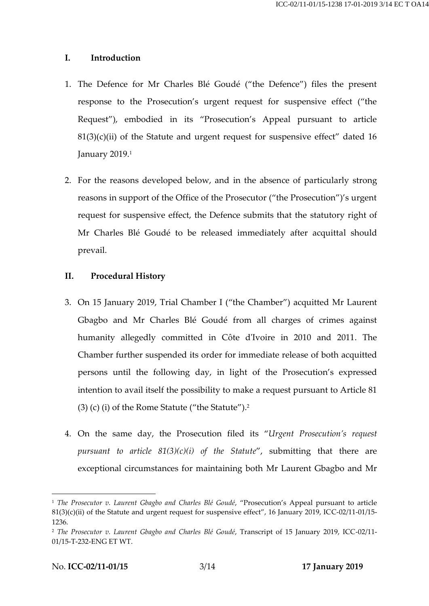#### **I. Introduction**

- 1. The Defence for Mr Charles Blé Goudé ("the Defence") files the present response to the Prosecution's urgent request for suspensive effect ("the Request"), embodied in its "Prosecution's Appeal pursuant to article  $81(3)(c)(ii)$  of the Statute and urgent request for suspensive effect" dated 16 January 2019.<sup>1</sup>
- 2. For the reasons developed below, and in the absence of particularly strong reasons in support of the Office of the Prosecutor ("the Prosecution")'s urgent request for suspensive effect, the Defence submits that the statutory right of Mr Charles Blé Goudé to be released immediately after acquittal should prevail.

### **II. Procedural History**

- 3. On 15 January 2019, Trial Chamber I ("the Chamber") acquitted Mr Laurent Gbagbo and Mr Charles Blé Goudé from all charges of crimes against humanity allegedly committed in Côte d'Ivoire in 2010 and 2011. The Chamber further suspended its order for immediate release of both acquitted persons until the following day, in light of the Prosecution's expressed intention to avail itself the possibility to make a request pursuant to Article 81 (3) (c) (i) of the Rome Statute ("the Statute"). 2
- 4. On the same day, the Prosecution filed its "*Urgent Prosecution's request pursuant to article 81(3)(c)(i) of the Statute*", submitting that there are exceptional circumstances for maintaining both Mr Laurent Gbagbo and Mr

<sup>1</sup> *The Prosecutor v. Laurent Gbagbo and Charles Blé Goudé*, "Prosecution's Appeal pursuant to article 81(3)(c)(ii) of the Statute and urgent request for suspensive effect", 16 January 2019, ICC-02/11-01/15- 1236.

<sup>2</sup> *The Prosecutor v. Laurent Gbagbo and Charles Blé Goudé*, Transcript of 15 January 2019, ICC-02/11- 01/15-T-232-ENG ET WT.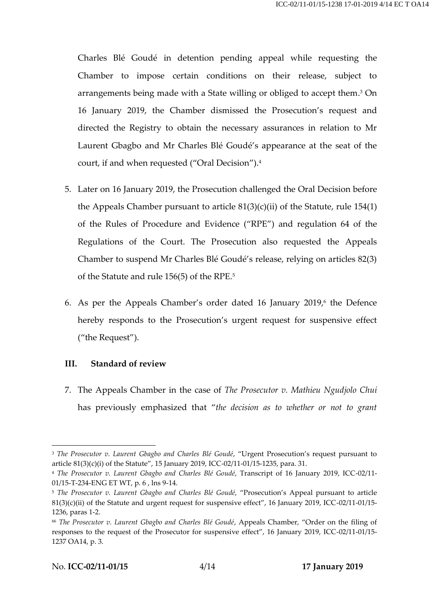Charles Blé Goudé in detention pending appeal while requesting the Chamber to impose certain conditions on their release, subject to arrangements being made with a State willing or obliged to accept them. <sup>3</sup> On 16 January 2019, the Chamber dismissed the Prosecution's request and directed the Registry to obtain the necessary assurances in relation to Mr Laurent Gbagbo and Mr Charles Blé Goudé's appearance at the seat of the court, if and when requested ("Oral Decision"). 4

- 5. Later on 16 January 2019, the Prosecution challenged the Oral Decision before the Appeals Chamber pursuant to article  $81(3)(c)(ii)$  of the Statute, rule 154(1) of the Rules of Procedure and Evidence ("RPE") and regulation 64 of the Regulations of the Court. The Prosecution also requested the Appeals Chamber to suspend Mr Charles Blé Goudé's release, relying on articles 82(3) of the Statute and rule 156(5) of the RPE. 5
- 6. As per the Appeals Chamber's order dated 16 January 2019,6 the Defence hereby responds to the Prosecution's urgent request for suspensive effect ("the Request").

#### **III. Standard of review**

7. The Appeals Chamber in the case of *The Prosecutor v. Mathieu Ngudjolo Chui* has previously emphasized that "*the decision as to whether or not to grant* 

<sup>3</sup> *The Prosecutor v. Laurent Gbagbo and Charles Blé Goudé*, "Urgent Prosecution's request pursuant to article 81(3)(c)(i) of the Statute", 15 January 2019, ICC-02/11-01/15-1235, para. 31.

<sup>4</sup> *The Prosecutor v. Laurent Gbagbo and Charles Blé Goudé*, Transcript of 16 January 2019, ICC-02/11- 01/15-T-234-ENG ET WT, p. 6 , lns 9-14.

<sup>5</sup> *The Prosecutor v. Laurent Gbagbo and Charles Blé Goudé*, "Prosecution's Appeal pursuant to article 81(3)(c)(ii) of the Statute and urgent request for suspensive effect", 16 January 2019, ICC-02/11-01/15- 1236, paras 1-2.

<sup>66</sup> *The Prosecutor v. Laurent Gbagbo and Charles Blé Goudé*, Appeals Chamber, "Order on the filing of responses to the request of the Prosecutor for suspensive effect", 16 January 2019, ICC-02/11-01/15- 1237 OA14, p. 3.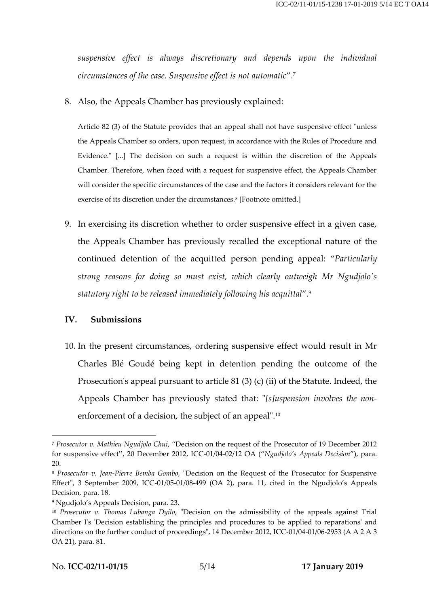*suspensive effect is always discretionary and depends upon the individual circumstances of the case. Suspensive effect is not automatic*".<sup>7</sup>

8. Also, the Appeals Chamber has previously explained:

Article 82 (3) of the Statute provides that an appeal shall not have suspensive effect "unless the Appeals Chamber so orders, upon request, in accordance with the Rules of Procedure and Evidence." [...] The decision on such a request is within the discretion of the Appeals Chamber. Therefore, when faced with a request for suspensive effect, the Appeals Chamber will consider the specific circumstances of the case and the factors it considers relevant for the exercise of its discretion under the circumstances.<sup>8</sup> [Footnote omitted.]

9. In exercising its discretion whether to order suspensive effect in a given case, the Appeals Chamber has previously recalled the exceptional nature of the continued detention of the acquitted person pending appeal: "*Particularly strong reasons for doing so must exist, which clearly outweigh Mr Ngudjolo's statutory right to be released immediately following his acquittal*".<sup>9</sup>

#### **IV. Submissions**

10. In the present circumstances, ordering suspensive effect would result in Mr Charles Blé Goudé being kept in detention pending the outcome of the Prosecution's appeal pursuant to article 81 (3) (c) (ii) of the Statute. Indeed, the Appeals Chamber has previously stated that: "*[s]uspension involves the non*enforcement of a decision, the subject of an appeal".<sup>10</sup>

<sup>7</sup> *Prosecutor v. Mathieu Ngudjolo Chui*, "Decision on the request of the Prosecutor of 19 December 2012 for suspensive effect'', 20 December 2012, ICC-01/04-02/12 OA ("*Ngudjolo's Appeals Decision*"), para. 20.

<sup>8</sup> *Prosecutor v. Jean-Pierre Bemba Gombo*, "Decision on the Request of the Prosecutor for Suspensive Effect", 3 September 2009, ICC-01/05-01/08-499 (OA 2), para. 11, cited in the Ngudjolo's Appeals Decision, para. 18.

<sup>9</sup> Ngudjolo's Appeals Decision, para. 23.

<sup>10</sup> *Prosecutor v. Thomas Lubanga Dyilo*, "Decision on the admissibility of the appeals against Trial Chamber I's 'Decision establishing the principles and procedures to be applied to reparations' and directions on the further conduct of proceedings", 14 December 2012, ICC-01/04-01/06-2953 (A A 2 A 3 OA 21), para. 81.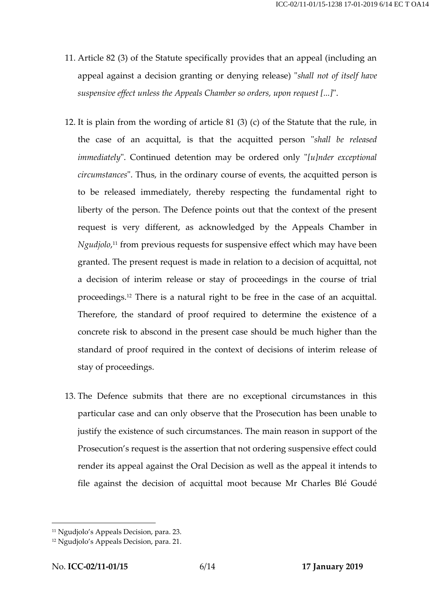- 11. Article 82 (3) of the Statute specifically provides that an appeal (including an appeal against a decision granting or denying release) "*shall not of itself have suspensive effect unless the Appeals Chamber so orders, upon request [...]*".
- 12. It is plain from the wording of article 81 (3) (c) of the Statute that the rule, in the case of an acquittal, is that the acquitted person "*shall be released immediately*". Continued detention may be ordered only "*[u]nder exceptional circumstances*". Thus, in the ordinary course of events, the acquitted person is to be released immediately, thereby respecting the fundamental right to liberty of the person. The Defence points out that the context of the present request is very different, as acknowledged by the Appeals Chamber in *Ngudjolo*, <sup>11</sup> from previous requests for suspensive effect which may have been granted. The present request is made in relation to a decision of acquittal, not a decision of interim release or stay of proceedings in the course of trial proceedings.<sup>12</sup> There is a natural right to be free in the case of an acquittal. Therefore, the standard of proof required to determine the existence of a concrete risk to abscond in the present case should be much higher than the standard of proof required in the context of decisions of interim release of stay of proceedings.
- 13. The Defence submits that there are no exceptional circumstances in this particular case and can only observe that the Prosecution has been unable to justify the existence of such circumstances. The main reason in support of the Prosecution's request is the assertion that not ordering suspensive effect could render its appeal against the Oral Decision as well as the appeal it intends to file against the decision of acquittal moot because Mr Charles Blé Goudé

<sup>11</sup> Ngudjolo's Appeals Decision, para. 23.

<sup>12</sup> Ngudjolo's Appeals Decision, para. 21.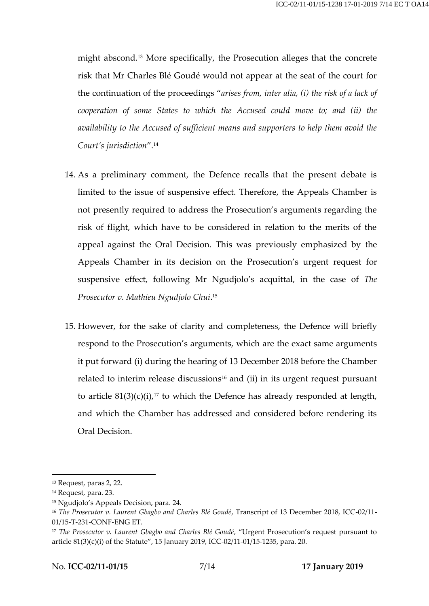might abscond.<sup>13</sup> More specifically, the Prosecution alleges that the concrete risk that Mr Charles Blé Goudé would not appear at the seat of the court for the continuation of the proceedings "*arises from, inter alia, (i) the risk of a lack of cooperation of some States to which the Accused could move to; and (ii) the availability to the Accused of sufficient means and supporters to help them avoid the Court's jurisdiction*".<sup>14</sup>

- 14. As a preliminary comment, the Defence recalls that the present debate is limited to the issue of suspensive effect. Therefore, the Appeals Chamber is not presently required to address the Prosecution's arguments regarding the risk of flight, which have to be considered in relation to the merits of the appeal against the Oral Decision. This was previously emphasized by the Appeals Chamber in its decision on the Prosecution's urgent request for suspensive effect, following Mr Ngudjolo's acquittal, in the case of *The Prosecutor v. Mathieu Ngudjolo Chui*. 15
- 15. However, for the sake of clarity and completeness, the Defence will briefly respond to the Prosecution's arguments, which are the exact same arguments it put forward (i) during the hearing of 13 December 2018 before the Chamber related to interim release discussions<sup>16</sup> and (ii) in its urgent request pursuant to article  $81(3)(c)(i)$ ,<sup>17</sup> to which the Defence has already responded at length, and which the Chamber has addressed and considered before rendering its Oral Decision.

<sup>13</sup> Request, paras 2, 22.

<sup>14</sup> Request, para. 23.

<sup>15</sup> Ngudjolo's Appeals Decision, para. 24.

<sup>16</sup> *The Prosecutor v. Laurent Gbagbo and Charles Blé Goudé*, Transcript of 13 December 2018, ICC-02/11- 01/15-T-231-CONF-ENG ET.

<sup>17</sup> *The Prosecutor v. Laurent Gbagbo and Charles Blé Goudé*, "Urgent Prosecution's request pursuant to article 81(3)(c)(i) of the Statute", 15 January 2019, ICC-02/11-01/15-1235, para. 20.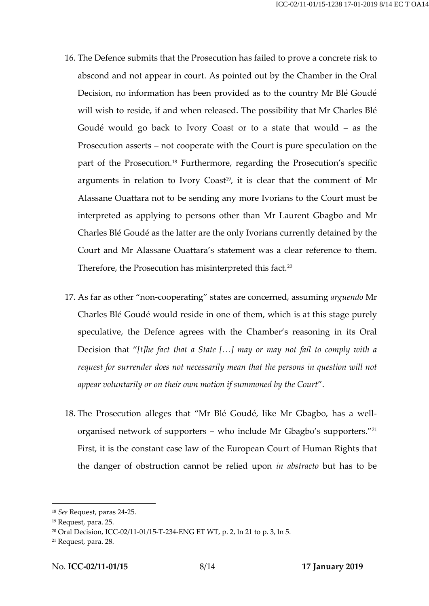- 16. The Defence submits that the Prosecution has failed to prove a concrete risk to abscond and not appear in court. As pointed out by the Chamber in the Oral Decision, no information has been provided as to the country Mr Blé Goudé will wish to reside, if and when released. The possibility that Mr Charles Blé Goudé would go back to Ivory Coast or to a state that would – as the Prosecution asserts – not cooperate with the Court is pure speculation on the part of the Prosecution.<sup>18</sup> Furthermore, regarding the Prosecution's specific arguments in relation to Ivory Coast<sup>19</sup>, it is clear that the comment of Mr Alassane Ouattara not to be sending any more Ivorians to the Court must be interpreted as applying to persons other than Mr Laurent Gbagbo and Mr Charles Blé Goudé as the latter are the only Ivorians currently detained by the Court and Mr Alassane Ouattara's statement was a clear reference to them. Therefore, the Prosecution has misinterpreted this fact.<sup>20</sup>
- 17. As far as other "non-cooperating" states are concerned, assuming *arguendo* Mr Charles Blé Goudé would reside in one of them, which is at this stage purely speculative, the Defence agrees with the Chamber's reasoning in its Oral Decision that "*[t]he fact that a State […] may or may not fail to comply with a request for surrender does not necessarily mean that the persons in question will not appear voluntarily or on their own motion if summoned by the Court*".
- 18. The Prosecution alleges that "Mr Blé Goudé, like Mr Gbagbo, has a wellorganised network of supporters – who include Mr Gbagbo's supporters."<sup>21</sup> First, it is the constant case law of the European Court of Human Rights that the danger of obstruction cannot be relied upon *in abstracto* but has to be

<sup>18</sup> *See* Request, paras 24-25.

<sup>19</sup> Request, para. 25.

<sup>20</sup> Oral Decision, ICC-02/11-01/15-T-234-ENG ET WT, p. 2, ln 21 to p. 3, ln 5.

<sup>21</sup> Request, para. 28.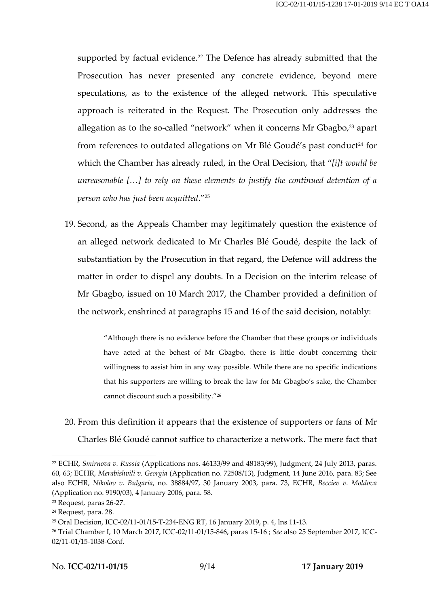supported by factual evidence.<sup>22</sup> The Defence has already submitted that the Prosecution has never presented any concrete evidence, beyond mere speculations, as to the existence of the alleged network. This speculative approach is reiterated in the Request. The Prosecution only addresses the allegation as to the so-called "network" when it concerns Mr Gbagbo, $23$  apart from references to outdated allegations on Mr Blé Goudé's past conduct<sup>24</sup> for which the Chamber has already ruled, in the Oral Decision, that "*[i]t would be unreasonable […] to rely on these elements to justify the continued detention of a person who has just been acquitted*." 25

19. Second, as the Appeals Chamber may legitimately question the existence of an alleged network dedicated to Mr Charles Blé Goudé, despite the lack of substantiation by the Prosecution in that regard, the Defence will address the matter in order to dispel any doubts. In a Decision on the interim release of Mr Gbagbo, issued on 10 March 2017, the Chamber provided a definition of the network, enshrined at paragraphs 15 and 16 of the said decision, notably:

> "Although there is no evidence before the Chamber that these groups or individuals have acted at the behest of Mr Gbagbo, there is little doubt concerning their willingness to assist him in any way possible. While there are no specific indications that his supporters are willing to break the law for Mr Gbagbo's sake, the Chamber cannot discount such a possibility."<sup>26</sup>

20. From this definition it appears that the existence of supporters or fans of Mr Charles Blé Goudé cannot suffice to characterize a network. The mere fact that

<sup>22</sup> ECHR, *Smirnova v. Russia* (Applications nos. 46133/99 and 48183/99), Judgment, 24 July 2013, paras. 60, 63; ECHR, *Merabishvili v. Georgia* (Application no. 72508/13), Judgment, 14 June 2016, para. 83; See also ECHR, *Nikolov v. Bulgaria*, no. 38884/97, 30 January 2003, para. 73, ECHR, *Becciev v. Moldova* (Application no. 9190/03), 4 January 2006, para. 58.

<sup>23</sup> Request, paras 26-27.

<sup>24</sup> Request, para. 28.

<sup>25</sup> Oral Decision, ICC-02/11-01/15-T-234-ENG RT, 16 January 2019, p. 4, lns 11-13.

<sup>26</sup> Trial Chamber I, 10 March 2017, ICC-02/11-01/15-846, paras 15-16 ; *See* also 25 September 2017, ICC-02/11-01/15-1038-Conf.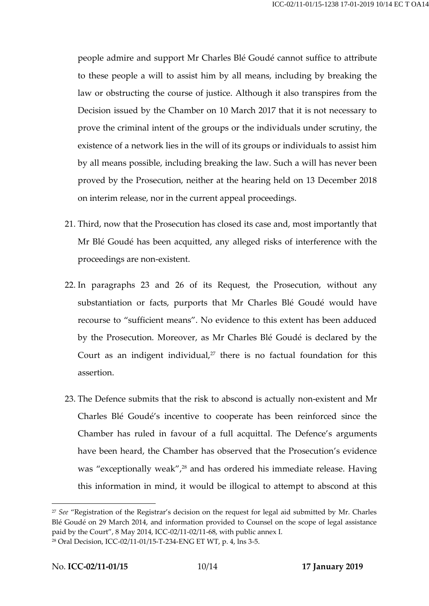people admire and support Mr Charles Blé Goudé cannot suffice to attribute to these people a will to assist him by all means, including by breaking the law or obstructing the course of justice. Although it also transpires from the Decision issued by the Chamber on 10 March 2017 that it is not necessary to prove the criminal intent of the groups or the individuals under scrutiny, the existence of a network lies in the will of its groups or individuals to assist him by all means possible, including breaking the law. Such a will has never been proved by the Prosecution, neither at the hearing held on 13 December 2018 on interim release, nor in the current appeal proceedings.

- 21. Third, now that the Prosecution has closed its case and, most importantly that Mr Blé Goudé has been acquitted, any alleged risks of interference with the proceedings are non-existent.
- 22. In paragraphs 23 and 26 of its Request, the Prosecution, without any substantiation or facts, purports that Mr Charles Blé Goudé would have recourse to "sufficient means". No evidence to this extent has been adduced by the Prosecution. Moreover, as Mr Charles Blé Goudé is declared by the Court as an indigent individual, $27$  there is no factual foundation for this assertion.
- 23. The Defence submits that the risk to abscond is actually non-existent and Mr Charles Blé Goudé's incentive to cooperate has been reinforced since the Chamber has ruled in favour of a full acquittal. The Defence's arguments have been heard, the Chamber has observed that the Prosecution's evidence was "exceptionally weak", <sup>28</sup> and has ordered his immediate release. Having this information in mind, it would be illogical to attempt to abscond at this

<sup>27</sup> *See* "Registration of the Registrar's decision on the request for legal aid submitted by Mr. Charles Blé Goudé on 29 March 2014, and information provided to Counsel on the scope of legal assistance paid by the Court", 8 May 2014, ICC-02/11-02/11-68, with public annex I.

<sup>28</sup> Oral Decision, ICC-02/11-01/15-T-234-ENG ET WT, p. 4, lns 3-5.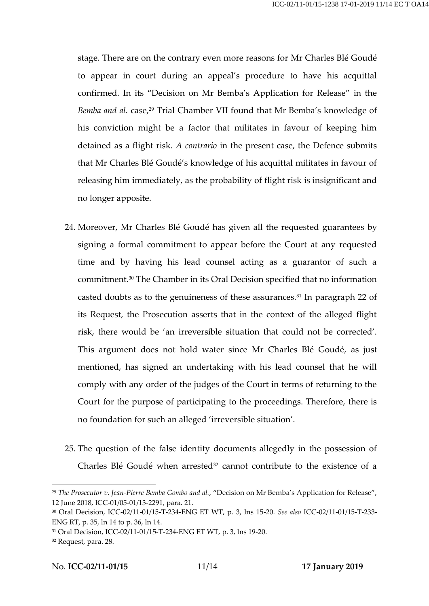stage. There are on the contrary even more reasons for Mr Charles Blé Goudé to appear in court during an appeal's procedure to have his acquittal confirmed. In its "Decision on Mr Bemba's Application for Release" in the Bemba and al. case,<sup>29</sup> Trial Chamber VII found that Mr Bemba's knowledge of his conviction might be a factor that militates in favour of keeping him detained as a flight risk. *A contrario* in the present case, the Defence submits that Mr Charles Blé Goudé's knowledge of his acquittal militates in favour of releasing him immediately, as the probability of flight risk is insignificant and no longer apposite.

- 24. Moreover, Mr Charles Blé Goudé has given all the requested guarantees by signing a formal commitment to appear before the Court at any requested time and by having his lead counsel acting as a guarantor of such a commitment.<sup>30</sup> The Chamber in its Oral Decision specified that no information casted doubts as to the genuineness of these assurances.<sup>31</sup> In paragraph 22 of its Request, the Prosecution asserts that in the context of the alleged flight risk, there would be 'an irreversible situation that could not be corrected'. This argument does not hold water since Mr Charles Blé Goudé, as just mentioned, has signed an undertaking with his lead counsel that he will comply with any order of the judges of the Court in terms of returning to the Court for the purpose of participating to the proceedings. Therefore, there is no foundation for such an alleged 'irreversible situation'.
- 25. The question of the false identity documents allegedly in the possession of Charles Blé Goudé when arrested<sup>32</sup> cannot contribute to the existence of a

<sup>29</sup> *The Prosecutor v. Jean-Pierre Bemba Gombo and al.*, "Decision on Mr Bemba's Application for Release", 12 June 2018, ICC-01/05-01/13-2291, para. 21.

<sup>30</sup> Oral Decision, ICC-02/11-01/15-T-234-ENG ET WT, p. 3, lns 15-20. *See also* ICC-02/11-01/15-T-233- ENG RT, p. 35, ln 14 to p. 36, ln 14.

<sup>31</sup> Oral Decision, ICC-02/11-01/15-T-234-ENG ET WT, p. 3, lns 19-20.

<sup>32</sup> Request, para. 28.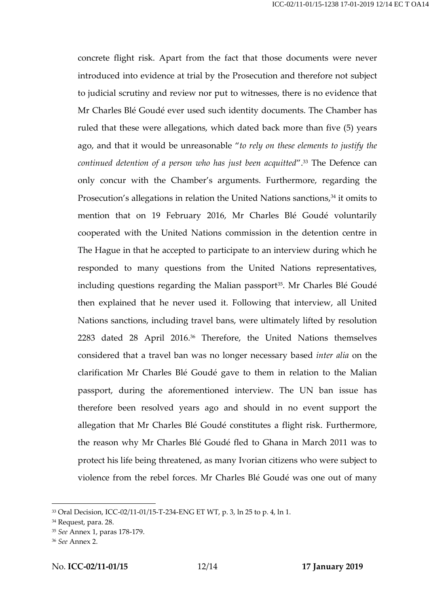concrete flight risk. Apart from the fact that those documents were never introduced into evidence at trial by the Prosecution and therefore not subject to judicial scrutiny and review nor put to witnesses, there is no evidence that Mr Charles Blé Goudé ever used such identity documents. The Chamber has ruled that these were allegations, which dated back more than five (5) years ago, and that it would be unreasonable "*to rely on these elements to justify the continued detention of a person who has just been acquitted*".<sup>33</sup> The Defence can only concur with the Chamber's arguments. Furthermore, regarding the Prosecution's allegations in relation the United Nations sanctions, <sup>34</sup> it omits to mention that on 19 February 2016, Mr Charles Blé Goudé voluntarily cooperated with the United Nations commission in the detention centre in The Hague in that he accepted to participate to an interview during which he responded to many questions from the United Nations representatives, including questions regarding the Malian passport<sup>35</sup>. Mr Charles Blé Goudé then explained that he never used it. Following that interview, all United Nations sanctions, including travel bans, were ultimately lifted by resolution 2283 dated 28 April 2016.<sup>36</sup> Therefore, the United Nations themselves considered that a travel ban was no longer necessary based *inter alia* on the clarification Mr Charles Blé Goudé gave to them in relation to the Malian passport, during the aforementioned interview. The UN ban issue has therefore been resolved years ago and should in no event support the allegation that Mr Charles Blé Goudé constitutes a flight risk. Furthermore, the reason why Mr Charles Blé Goudé fled to Ghana in March 2011 was to protect his life being threatened, as many Ivorian citizens who were subject to violence from the rebel forces. Mr Charles Blé Goudé was one out of many

<sup>33</sup> Oral Decision, ICC-02/11-01/15-T-234-ENG ET WT, p. 3, ln 25 to p. 4, ln 1.

<sup>34</sup> Request, para. 28.

<sup>35</sup> *See* Annex 1, paras 178-179.

<sup>36</sup> *See* Annex 2.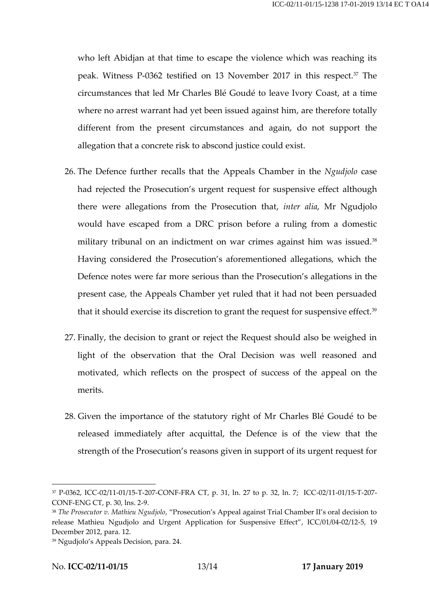who left Abidjan at that time to escape the violence which was reaching its peak. Witness P-0362 testified on 13 November 2017 in this respect.<sup>37</sup> The circumstances that led Mr Charles Blé Goudé to leave Ivory Coast, at a time where no arrest warrant had yet been issued against him, are therefore totally different from the present circumstances and again, do not support the allegation that a concrete risk to abscond justice could exist.

- 26. The Defence further recalls that the Appeals Chamber in the *Ngudjolo* case had rejected the Prosecution's urgent request for suspensive effect although there were allegations from the Prosecution that, *inter alia*, Mr Ngudjolo would have escaped from a DRC prison before a ruling from a domestic military tribunal on an indictment on war crimes against him was issued.<sup>38</sup> Having considered the Prosecution's aforementioned allegations, which the Defence notes were far more serious than the Prosecution's allegations in the present case, the Appeals Chamber yet ruled that it had not been persuaded that it should exercise its discretion to grant the request for suspensive effect.<sup>39</sup>
- 27. Finally, the decision to grant or reject the Request should also be weighed in light of the observation that the Oral Decision was well reasoned and motivated, which reflects on the prospect of success of the appeal on the merits.
- 28. Given the importance of the statutory right of Mr Charles Blé Goudé to be released immediately after acquittal, the Defence is of the view that the strength of the Prosecution's reasons given in support of its urgent request for

<sup>37</sup> P-0362, ICC-02/11-01/15-T-207-CONF-FRA CT, p. 31, ln. 27 to p. 32, ln. 7; ICC-02/11-01/15-T-207- CONF-ENG CT, p. 30, lns. 2-9.

<sup>38</sup> *The Prosecutor v. Mathieu Ngudjolo*, "Prosecution's Appeal against Trial Chamber II's oral decision to release Mathieu Ngudjolo and Urgent Application for Suspensive Effect", ICC/01/04-02/12-5, 19 December 2012, para. 12.

<sup>39</sup> Ngudjolo's Appeals Decision, para. 24.